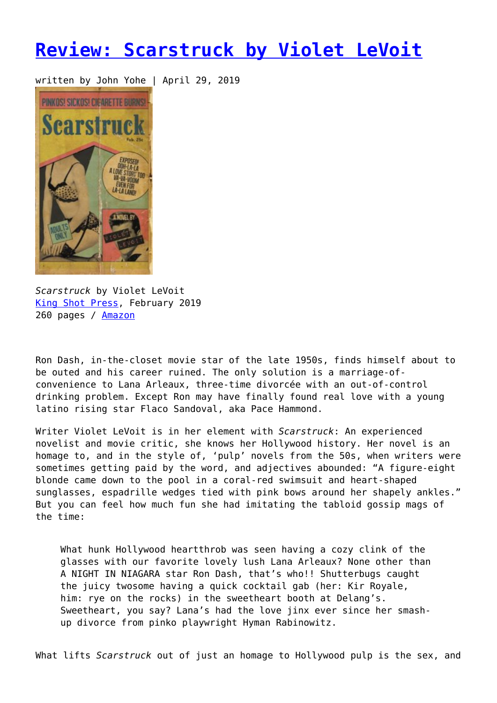## **[Review: Scarstruck by Violet LeVoit](https://entropymag.org/scarstruck-violet-levoit/)**

written by John Yohe | April 29, 2019



*Scarstruck* by Violet LeVoit [King Shot Press,](https://www.kingshotpress.com/shop/scarstruck-1?category=Fiction) February 2019 260 pages / [Amazon](https://amzn.to/2GIb7dy)

Ron Dash, in-the-closet movie star of the late 1950s, finds himself about to be outed and his career ruined. The only solution is a marriage-ofconvenience to Lana Arleaux, three-time divorcée with an out-of-control drinking problem. Except Ron may have finally found real love with a young latino rising star Flaco Sandoval, aka Pace Hammond.

Writer Violet LeVoit is in her element with *Scarstruck*: An experienced novelist and movie critic, she knows her Hollywood history. Her novel is an homage to, and in the style of, 'pulp' novels from the 50s, when writers were sometimes getting paid by the word, and adjectives abounded: "A figure-eight blonde came down to the pool in a coral-red swimsuit and heart-shaped sunglasses, espadrille wedges tied with pink bows around her shapely ankles." But you can feel how much fun she had imitating the tabloid gossip mags of the time:

What hunk Hollywood heartthrob was seen having a cozy clink of the glasses with our favorite lovely lush Lana Arleaux? None other than A NIGHT IN NIAGARA star Ron Dash, that's who!! Shutterbugs caught the juicy twosome having a quick cocktail gab (her: Kir Royale, him: rye on the rocks) in the sweetheart booth at Delang's. Sweetheart, you say? Lana's had the love jinx ever since her smashup divorce from pinko playwright Hyman Rabinowitz.

What lifts *Scarstruck* out of just an homage to Hollywood pulp is the sex, and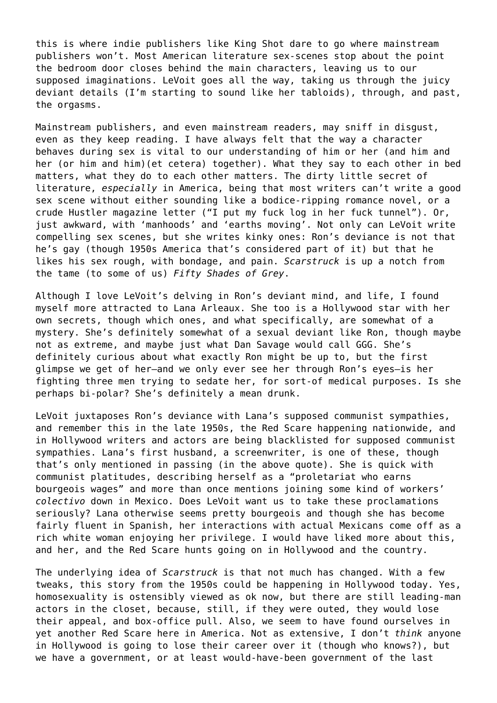this is where indie publishers like King Shot dare to go where mainstream publishers won't. Most American literature sex-scenes stop about the point the bedroom door closes behind the main characters, leaving us to our supposed imaginations. LeVoit goes all the way, taking us through the juicy deviant details (I'm starting to sound like her tabloids), through, and past, the orgasms.

Mainstream publishers, and even mainstream readers, may sniff in disgust, even as they keep reading. I have always felt that the way a character behaves during sex is vital to our understanding of him or her (and him and her (or him and him)(et cetera) together). What they say to each other in bed matters, what they do to each other matters. The dirty little secret of literature, *especially* in America, being that most writers can't write a good sex scene without either sounding like a bodice-ripping romance novel, or a crude Hustler magazine letter ("I put my fuck log in her fuck tunnel"). Or, just awkward, with 'manhoods' and 'earths moving'. Not only can LeVoit write compelling sex scenes, but she writes kinky ones: Ron's deviance is not that he's gay (though 1950s America that's considered part of it) but that he likes his sex rough, with bondage, and pain. *Scarstruck* is up a notch from the tame (to some of us) *Fifty Shades of Grey*.

Although I love LeVoit's delving in Ron's deviant mind, and life, I found myself more attracted to Lana Arleaux. She too is a Hollywood star with her own secrets, though which ones, and what specifically, are somewhat of a mystery. She's definitely somewhat of a sexual deviant like Ron, though maybe not as extreme, and maybe just what Dan Savage would call GGG. She's definitely curious about what exactly Ron might be up to, but the first glimpse we get of her—and we only ever see her through Ron's eyes—is her fighting three men trying to sedate her, for sort-of medical purposes. Is she perhaps bi-polar? She's definitely a mean drunk.

LeVoit juxtaposes Ron's deviance with Lana's supposed communist sympathies, and remember this in the late 1950s, the Red Scare happening nationwide, and in Hollywood writers and actors are being blacklisted for supposed communist sympathies. Lana's first husband, a screenwriter, is one of these, though that's only mentioned in passing (in the above quote). She is quick with communist platitudes, describing herself as a "proletariat who earns bourgeois wages" and more than once mentions joining some kind of workers' *colectivo* down in Mexico. Does LeVoit want us to take these proclamations seriously? Lana otherwise seems pretty bourgeois and though she has become fairly fluent in Spanish, her interactions with actual Mexicans come off as a rich white woman enjoying her privilege. I would have liked more about this, and her, and the Red Scare hunts going on in Hollywood and the country.

The underlying idea of *Scarstruck* is that not much has changed. With a few tweaks, this story from the 1950s could be happening in Hollywood today. Yes, homosexuality is ostensibly viewed as ok now, but there are still leading-man actors in the closet, because, still, if they were outed, they would lose their appeal, and box-office pull. Also, we seem to have found ourselves in yet another Red Scare here in America. Not as extensive, I don't *think* anyone in Hollywood is going to lose their career over it (though who knows?), but we have a government, or at least would-have-been government of the last